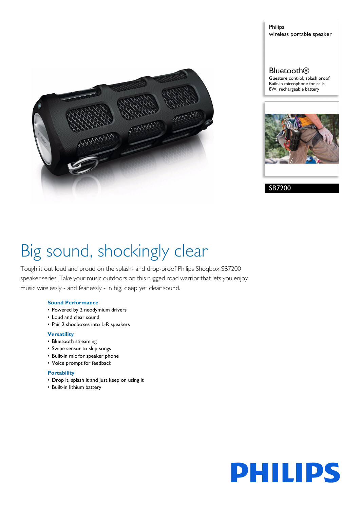

Philips wireless portable speaker

# **Bluetooth®**

Guesture control, splash proof Built-in microphone for calls 8W, rechargeable battery



SB7200

# Big sound, shockingly clear

Tough it out loud and proud on the splash- and drop-proof Philips Shoqbox SB7200 speaker series. Take your music outdoors on this rugged road warrior that lets you enjoy music wirelessly - and fearlessly - in big, deep yet clear sound.

# **Sound Performance**

- Powered by 2 neodymium drivers
- Loud and clear sound
- Pair 2 shoqboxes into L-R speakers

# **Versatility**

- Bluetooth streaming
- Swipe sensor to skip songs
- Built-in mic for speaker phone
- Voice prompt for feedback

# **Portability**

- Drop it, splash it and just keep on using it
- Built-in lithium battery

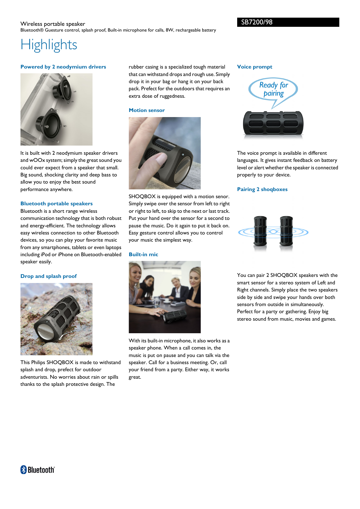# Wireless portable speaker Bluetooth® Guesture control, splash proof, Built-in microphone for calls, 8W, rechargeable battery

# **Highlights**

## **Powered by 2 neodymium drivers**



It is built with 2 neodymium speaker drivers and wOOx system; simply the great sound you could ever expect from a speaker that small. Big sound, shocking clarity and deep bass to allow you to enjoy the best sound performance anywhere.

## **Bluetooth portable speakers**

Bluetooth is a short range wireless communication technology that is both robust and energy-efficient. The technology allows easy wireless connection to other Bluetooth devices, so you can play your favorite music from any smartphones, tablets or even laptops including iPod or iPhone on Bluetooth-enabled speaker easily.

# **Drop and splash proof**



This Philips SHOQBOX is made to withstand splash and drop, prefect for outdoor adventurists. No worries about rain or spills thanks to the splash protective design. The

rubber casing is a specialized tough material that can withstand drops and rough use. Simply drop it in your bag or hang it on your back pack. Prefect for the outdoors that requires an extra dose of ruggedness.

## **Motion sensor**



SHOQBOX is equipped with a motion senor. Simply swipe over the sensor from left to right or right to left, to skip to the next or last track. Put your hand over the sensor for a second to pause the music. Do it again to put it back on. Easy gesture control allows you to control your music the simplest way.

# **Built-in mic**



With its built-in microphone, it also works as a speaker phone. When a call comes in, the music is put on pause and you can talk via the speaker. Call for a business meeting. Or, call your friend from a party. Either way, it works great.

#### **Voice prompt**



The voice prompt is available in different languages. It gives instant feedback on battery level or alert whether the speaker is connected properly to your device.

# **Pairing 2 shoqboxes**



You can pair 2 SHOQBOX speakers with the smart sensor for a stereo system of Left and Right channels. Simply place the two speakers side by side and swipe your hands over both sensors from outside in simultaneously. Perfect for a party or gathering. Enjoy big stereo sound from music, movies and games.